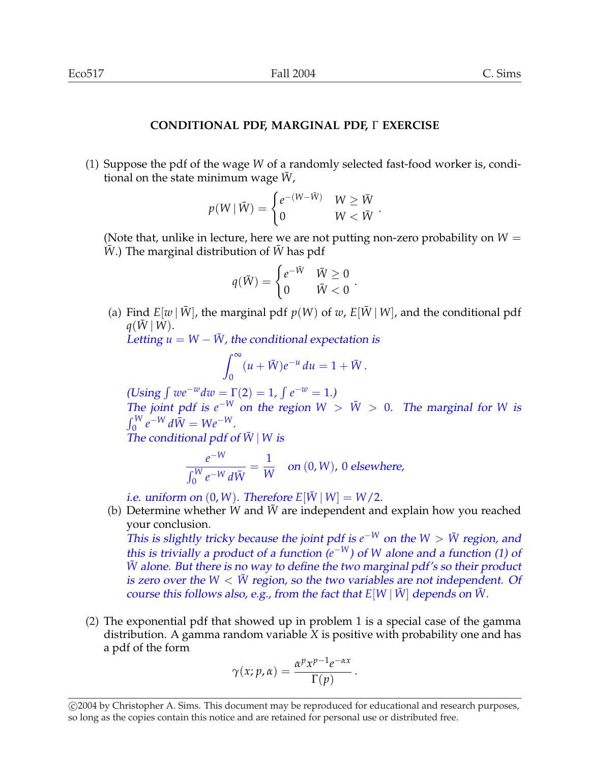## **CONDITIONAL PDF, MARGINAL PDF,** Γ **EXERCISE**

(1) Suppose the pdf of the wage *W* of a randomly selected fast-food worker is, conditional on the state minimum wage *W*,

$$
p(W | \bar{W}) = \begin{cases} e^{-(W - \bar{W})} & W \geq \bar{W} \\ 0 & W < \bar{W} \end{cases}.
$$

(Note that, unlike in lecture, here we are not putting non-zero probability on  $W =$ *W*.) The marginal distribution of *W* has pdf

$$
q(\bar{W}) = \begin{cases} e^{-\bar{W}} & \bar{W} \ge 0 \\ 0 & \bar{W} < 0 \end{cases}
$$

(a) Find  $E[w | \overline{W}]$ , the marginal pdf  $p(W)$  of w,  $E[\overline{W} | W]$ , and the conditional pdf  $q(W|W)$ .

.

Letting  $u = W - \bar{W}$ , the conditional expectation is

$$
\int_0^\infty (u+\overline{W})e^{-u} du = 1+\overline{W}.
$$

(Using  $\int we^{-w}dw = \Gamma(2) = 1,$  $e^{-w} = 1.$ The joint pdf is  $e^{-W}$  on the region  $W > \bar{W} > 0$ . The marginal for *W* is  $\frac{1}{r}$ <sup>W</sup>  $e^{-W} d\bar{W} = We^{-W}.$ 

The conditional pdf of  $\bar{W}$  | *W* is

$$
\frac{e^{-W}}{\int_0^W e^{-W} d\bar{W}} = \frac{1}{W}
$$
 on (0, W), 0 elsewhere,

i.e. uniform on  $(0, W)$ . Therefore  $E[\overline{W} | W] = W/2$ .

(b) Determine whether *W* and *W* are independent and explain how you reached your conclusion.

This is slightly tricky because the joint pdf is  $e^{-W}$  on the  $W > \bar{W}$  region, and this is trivially a product of a function  $(e^{-W})$  of *W* alone and a function (1) of *W* alone. But there is no way to define the two marginal pdf's so their product is zero over the  $W < W$  region, so the two variables are not independent. Of course this follows also, e.g., from the fact that  $E[W | W]$  depends on *W*.

(2) The exponential pdf that showed up in problem 1 is a special case of the gamma distribution. A gamma random variable *X* is positive with probability one and has a pdf of the form

$$
\gamma(x; p, \alpha) = \frac{\alpha^p x^{p-1} e^{-\alpha x}}{\Gamma(p)}.
$$

<sup>°</sup>c 2004 by Christopher A. Sims. This document may be reproduced for educational and research purposes, so long as the copies contain this notice and are retained for personal use or distributed free.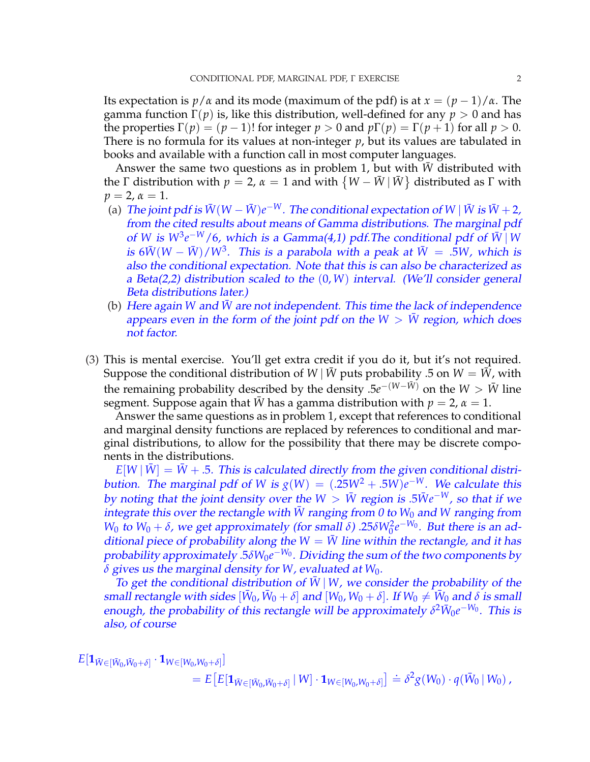Its expectation is  $p/\alpha$  and its mode (maximum of the pdf) is at  $x = (p-1)/\alpha$ . The gamma function Γ(*p*) is, like this distribution, well-defined for any *p* > 0 and has the properties  $\Gamma(p) = (p-1)!$  for integer  $p > 0$  and  $p\Gamma(p) = \Gamma(p+1)$  for all  $p > 0$ . There is no formula for its values at non-integer *p*, but its values are tabulated in books and available with a function call in most computer languages.

Answer the same two questions as in problem 1, but with  $\bar{W}$  distributed with Answer the same two questions as in problem 1, but with *w* distributed with the  $\Gamma$  distribution with  $p = 2$ ,  $\alpha = 1$  and with  $\{W - \bar{W} | \bar{W}\}$  distributed as  $\Gamma$  with  $p = 2, \alpha = 1.$ 

- (a) The joint pdf is  $\bar{W}(W \bar{W})e^{-W}$ . The conditional expectation of  $W | \bar{W}$  is  $\bar{W} + 2$ , from the cited results about means of Gamma distributions. The marginal <sup>p</sup>df of *W* is  $W^3e^{-W}/6$ , which is a Gamma(4,1) pdf. The conditional pdf of  $\overline{W}$  | *W* is 6 $\bar{W}(W-\bar{W})/W^3$ . This is a parabola with a peak at  $\bar{W}~=~.5W$ , which is also the conditional expectation. Note that this is can also be characterized as <sup>a</sup> Beta(2,2) distribution scaled to the (0, *W*) interval. (We'll consider general Beta distributions later.)
- (b) Here again *W* and *W* are not independent. This time the lack of independence appears even in the form of the joint pdf on the  $W > W$  region, which does not factor.
- (3) This is mental exercise. You'll get extra credit if you do it, but it's not required. Suppose the conditional distribution of *W* | *W* puts probability .5 on *W* = *W*, with the remaining probability described by the density  $.5e^{-(W-\bar{W})}$  on the  $W > \bar{W}$  line segment. Suppose again that  $\bar{W}$  has a gamma distribution with  $p = 2$ ,  $\alpha = 1$ .

Answer the same questions as in problem 1, except that references to conditional and marginal density functions are replaced by references to conditional and marginal distributions, to allow for the possibility that there may be discrete components in the distributions.

 $E[W | W] = W + .5$ . This is calculated directly from the given conditional distribution. The marginal pdf of *W* is  $g(W) = (.25W^2 + .5W)e^{-W}$ . We calculate this by noting that the joint density over the  $W > \bar{W}$  region is  $.5\bar{W}e^{-W}$ , so that if we integrate this over the rectangle with  $\bar{W}$  ranging from 0 to  $W_0$  and  $W$  ranging from *W*<sub>0</sub> to *W*<sub>0</sub> + *δ*, we get approximately (for small *δ*) .25*δW*<sub>0</sub><sup>2</sup>*e*<sup>-*W*<sub>0</sub></sub>. But there is an ad-</sup> ditional piece of probability along the  $W = \overline{W}$  line within the rectangle, and it has probability approximately .5*δW*0*e* −*W*<sup>0</sup> . Dividing the sum of the two components by *δ* gives us the marginal density for *W*, evaluated at *W*0.

To get the conditional distribution of  $\bar{W}$  | *W*, we consider the probability of the  $s$ mall rectangle with sides  $[\bar{W}_0,\bar{W}_0+\delta]$  and  $[W_0,W_0+\delta].$  If  $W_0\neq \bar{W}_0$  and  $\delta$  is small enough, the probability of this rectangle will be approximately  $\delta^2 \bar{W}_0 e^{-W_0}$ . This is also, of course

$$
E[\mathbf{1}_{\bar{W}\in[\bar{W}_0,\bar{W}_0+\delta]} \cdot \mathbf{1}_{W\in[W_0,W_0+\delta]}]
$$
  
= 
$$
E\big[E[\mathbf{1}_{\bar{W}\in[\bar{W}_0,\bar{W}_0+\delta]} | W] \cdot \mathbf{1}_{W\in[W_0,W_0+\delta]}\big] \doteq \delta^2 g(W_0) \cdot q(\bar{W}_0 | W_0),
$$